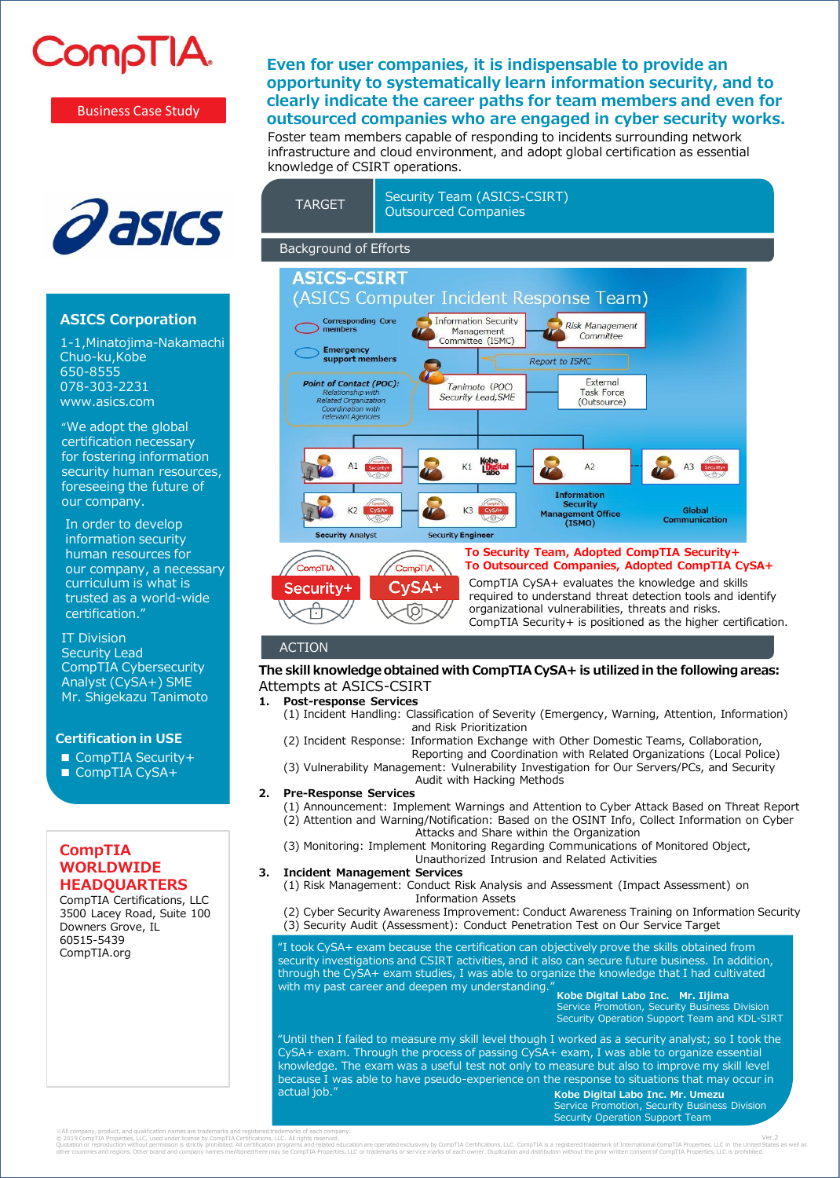

Business Case Study



## **ASICS Corporation**

1-1,Minatojima-Nakamachi Chuo-ku,Kobe 650-8555 078-303-2231 www.asics.com

"We adopt the global certification necessary for fostering information security human resources, foreseeing the future of our company.

In order to develop information security human resources for our company, a necessary curriculum is what is trusted as a world-wide certification."

IT Division Security Lead CompTIA Cybersecurity Analyst (CySA+) SME Mr. Shigekazu Tanimoto

#### **Certification in USE**

- CompTIA Security+
- CompTIA CySA+

## **CompTIA WORLDWIDE HEADQUARTERS**

CompTIA Certifications, LLC 3500 Lacey Road, Suite 100 Downers Grove, IL 60515-5439 CompTIA.org

# **Even for user companies, it is indispensable to provide an opportunity to systematically learn information security, and to clearly indicate the career paths for team members and even for outsourced companies who are engaged in cyber security works.**

Foster team members capable of responding to incidents surrounding network infrastructure and cloud environment, and adopt global certification as essential knowledge of CSIRT operations.



## ACTION

### **The skill knowledge obtained with CompTIA CySA+ is utilized in the following areas:** Attempts at ASICS-CSIRT

### **1. Post-response Services**

- (1) Incident Handling: Classification of Severity (Emergency, Warning, Attention, Information) and Risk Prioritization
- (2) Incident Response: Information Exchange with Other Domestic Teams, Collaboration, Reporting and Coordination with Related Organizations (Local Police)
- (3) Vulnerability Management: Vulnerability Investigation for Our Servers/PCs, and Security Audit with Hacking Methods
- **2. Pre-Response Services**

(1) Announcement: Implement Warnings and Attention to Cyber Attack Based on Threat Report (2) Attention and Warning/Notification: Based on the OSINT Info, Collect Information on Cyber Attacks and Share within the Organization

- (3) Monitoring: Implement Monitoring Regarding Communications of Monitored Object,
- Unauthorized Intrusion and Related Activities
- **3. Incident Management Services**
	- (1) Risk Management: Conduct Risk Analysis and Assessment (Impact Assessment) on Information Assets
	- (2) Cyber Security Awareness Improvement: Conduct Awareness Training on Information Security (3) Security Audit (Assessment): Conduct Penetration Test on Our Service Target

"I took CySA+ exam because the certification can objectively prove the skills obtained from security investigations and CSIRT activities, and it also can secure future business. In addition, through the CySA+ exam studies, I was able to organize the knowledge that I had cultivated with my past career and deepen my understanding.

**Kobe Digital Labo Inc. Mr. Iijima** Service Promotion, Security Business Division Security Operation Support Team and KDL-SIRT

"Until then I failed to measure my skill level though I worked as a security analyst; so I took the CySA+ exam. Through the process of passing CySA+ exam, I was able to organize essential knowledge. The exam was a useful test not only to measure but also to improve my skill level because I was able to have pseudo-experience on the response to situations that may occur in actual job." **Kobe Digital Labo Inc. Mr. Umezu**

Service Promotion, Security Business Division Security Operation Support Team

※All company, product, and qualification names are trademarks and registered trademarks of each company. © 2019 CompTIA Properties, LLC, used under license by CompTIA Certifications, LLC. All rights reserved.

Quotation without permission is strictly prohibted. All certification programs and related education are operated exclusively by CompTIA Procedies. LLC or trademarks or service marks of each owner. Duolication and distribu Ver.2